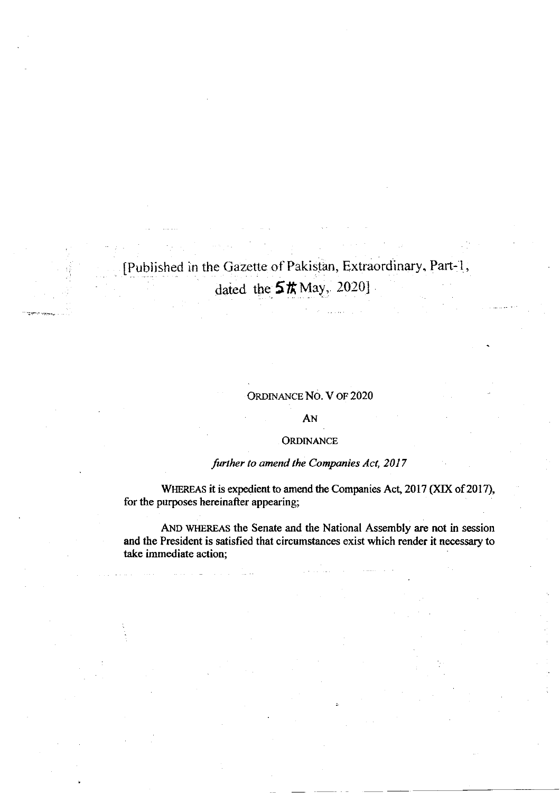# [Published in the Gazette of Pakistan, Extraordinary. Part-1, dated the  $5\text{\,}\pi\text{May}, 20201$

### ORDINANCE NO. V OF 2020

#### AN

#### ORDINANCE

## further to amend the Companies Act, 2017

WHEREAS it is expedient to amend the Companies Act, 2017 (XIX of 2017), for the purposes hereinafter appearing;

AND WHEREAS the Senate and the National Assembly are not in session and the President is satisfied that circumstances exist which render it necessary to take immediate action;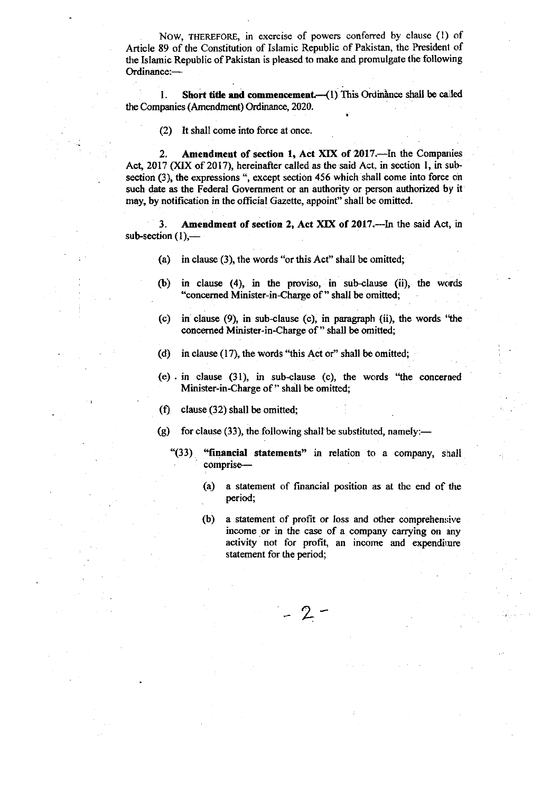. Now, THEREFoRE, in exercise of powers conferred by clause (l) of Article 89 of the Constitution of Islamic Republic of Pakistan, the President of the Islamic Republic of Pakistan is pleased to make and promulgate the following Ordinance:-

1. Short title and commencement.  $(1)$  This Ordinance shall be called the Companies (Amendment) Ordinance, 2020.

(2) It shall come into force at once.

2. Amendment of section 1, Act XIX of 2017.-In the Companies Act, 2017 (XIX of 2017), hereinafter called as the said Act, in section 1, in subsection (3), the expressions ", except section 456 which shall come into force on such date as the Federal Government or an authority or person authorized by it may, by notification in the official Gazette, appoint" shall be omitted.

3. Amendment of section 2, Act XIX of 2017.-In the said Act, in sub-section  $(1)$ ,-

- (a) in clause (3), the words "or this Act" shall be omifted;
- $f(b)$  in clause (4), in the proviso, in sub-clause (ii), the words "concerned Minister-in-Charge of " shall be omitted;
- (c) in clause  $(9)$ , in sub-clause  $(c)$ , in paragraph  $(ii)$ , the words "the concerned Minister-in-Charge of " shall be omitted;
- (d) in clause  $(17)$ , the words "this Act or" shall be omitted;
- (e) . in clause (31), in sub-clause (c), the words "the concerned Minister-in-Charge of " shall be omitted;
- (f) clause (32) shall be omitted;
- (g) for clause (33), the following shall be substituted, namely:—

 $-2$ 

- " $(33)$  "financial statements" in relation to a company, shall comprise-
	- (a) a statement of financial position as at the end of the period;
	- (b) a statement of profit or loss and other comprehensive income or in the case of a company carrying on any activity not for profit, an income and expenditure statement for the period;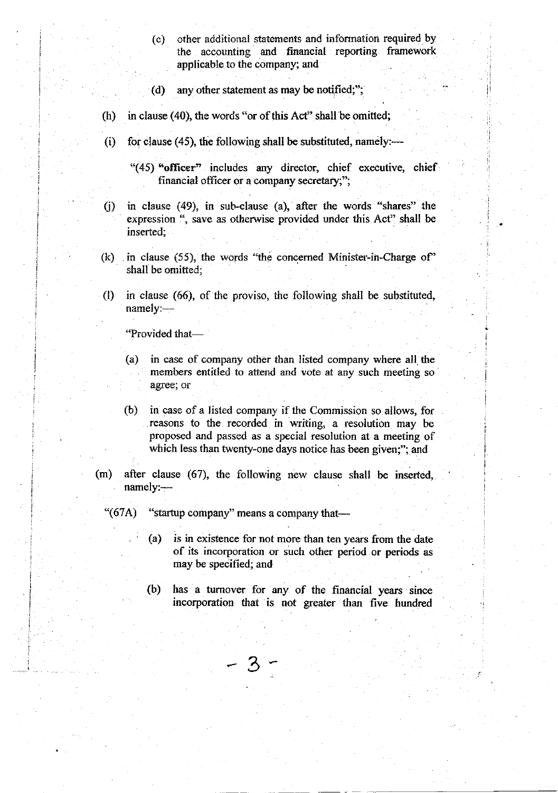- (c) other additional statements and information required by the accounting and financial reporting framework applicable to the company; and
- (d) any other statement as may be notified;";
- (h) in clause (40), the words "or of this Acf' shall be omitted;
- (i) for clause (45), the following shall be substituted, namely:—

"(45) "officer" includes any director, chief executive, chief financial officer or a company secretary;";

- $(i)$  in clause (49), in sub-clause (a), after the words "shares" the expression ", save as otherwise provided under this Act" shall be inserted;
- (k) in clause (55), the words 'the concemed Minister-in-Charge of' shall be omitted;
- $(1)$  in clause (66), of the proviso, the following shall be substituted, namely:-

"Provided that-

I ; I i

i

I

I l

- (a) in case of company other than listed company where all the members entitled to attend and vote at any such meeting so agree; or
- (b) in case of a listed company if the Commission so allows, for reasons to the recorded in writing, a resolution may be proposed and passed as a special resolution at a meeting of which less than twenty-one days notice has been given;"; and
- $(m)$  after clause (67), the following new clause shall be inserted, namely:-

3

- " $(67A)$  "startup company" means a company that---
	- (a) is in existence for not more than ten years from the date of its incorporation or such other period or periods as may be specified; and
	- (b) has a turnover for any of the financial years since incorporation that is not greater than five hundred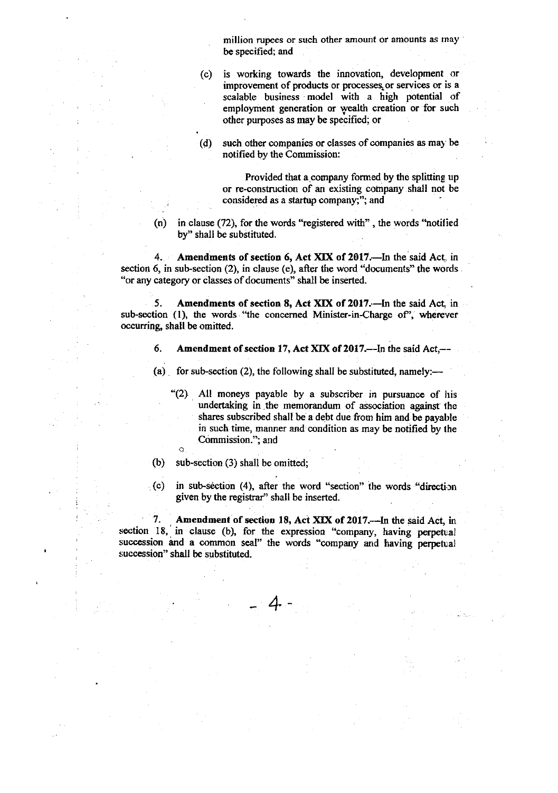million rupees or such other amount or amounts as may be specified; and

(c) is working towards the innovation, development or improvement of products or processes or services or is a scalable business model with a high potential of employment generation or yealth creation or for such other purposes as may be specified; or

 $(d)$  such other companies or classes of companies as may be notified by the Commission:

Provided that a company formed by the spliting up or re-construction of an existing company shall not be considered as a startup company;"; and

 $(n)$  in clause (72), for the words "registered with", the words "notified by" shall be substituted.

4. Amendments of section 6, Act XIX of 2017. In the said Act, in section 6, in sub-section (2), in clause (e), after the word "documents" the words "or any category or classes of documents" shall be inserted.

5. Amendments of section 8, Act XIX of 2017.-In the said Act, in sub-section (1), the words "the concerned Minister-in-Charge of", wherever occurring, shall be omitted.

- 6. Amendment of section 17, Act XIX of 2017.--In the said Act,--
- (a) for sub-section (2), the following shall be substituted, namely:—
	- '(2) All moneys payable by a subscriber in pursuance of his undertaking in the memorandum of association against the shares subscribed shall be a debt due fiom him and be payable in such time, manner and condition as may be notified by the Commission."; and
- (b) sub-section (3) shall be omitted;

C

 $(c)$  in sub-section (4), after the word "section" the words "direction given by the registrar" shall be inserted.

7. Amendment of section 18, Act XIX of 2017.—In the said Act, in section 18, in clause (b), for the expression "company, having perpetral succession and a common seal" the words "company and having perpetual succession" shall be substituted.

+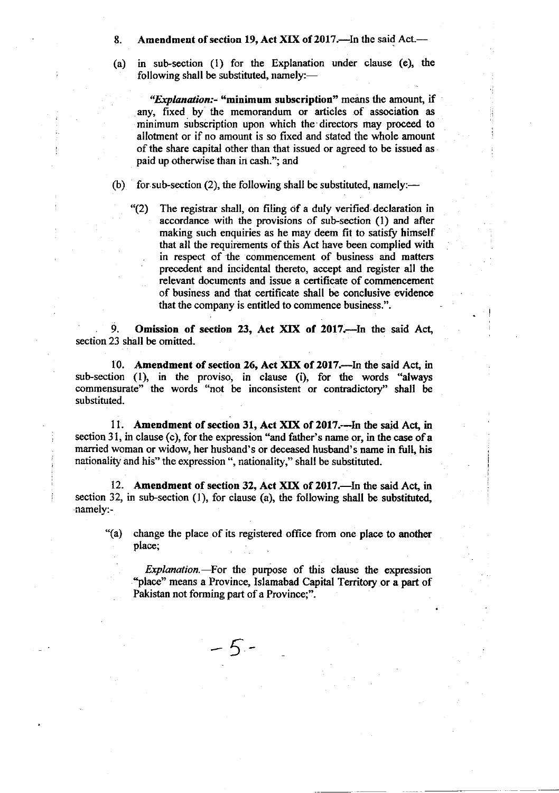8. Amendment of section 19, Act XIX of 2017.—In the said Act.—

(a) in sub-section  $(1)$  for the Explanation under clause (e), the following shall be substituted, namely: $-$ 

"Explanation:- "minimum subscription" means the amount, if any, fixed by the memorandum or articles of association as minimum subscription upon which the directors may proceed to allotrnent or if no amount is so fixed and stated the whole amount of the share capital other than that issued or agreed to be issued as paid up otherwise than in cash."; and

(b) for sub-section (2), the following shall be substituted, namely:—

"(2) The registrar shall, on filing of a duly verified declaration in accordance with the provisions of sub-section (1) and after making such enquiries as he may deem fit to satisfy himself that all the requirements of this Act have been complied with in respect of the commencement of business and matters precedent and incidental thereto, accept and register all the relevant documents and issue a certificate of commencement of business and that certificate shall be conclusive evidence that the company is entitled to commence business.".

9. Omission of section 23, Act XIX of 2017.-- In the said Act, section 23 shall be omitted.

10. Amendment of section 26, Act XIX of 2017.--In the said Act, in sub-section (1), in the proviso, in clause (i), for the words "always commensurate" the words "not be inconsistent or contradictory" shall be substituted.

11. Amendment of section 31, Act XIX of 2017.—In the said Act, in section 31, in clause (c), for the expression "and father's name or, in the case of  $\bf{a}$ married woman or widow, her husband's or deceased husband's name in full, his nationality and his" the expression ", nationality," shall be substituted.

12. Amendment of section 32, Act XIX of 2017.—In the said Act, in section 32, in sub-section (1), for clause (a), the following shall be substituted, namely:-

5

"(a) change the place of its registered office from one place to another place;

Explanation.-- For the purpose of this clause the expression "place" means a Province, Islamabad Capital Territory or a part of Pakistan not forming part of a Province;".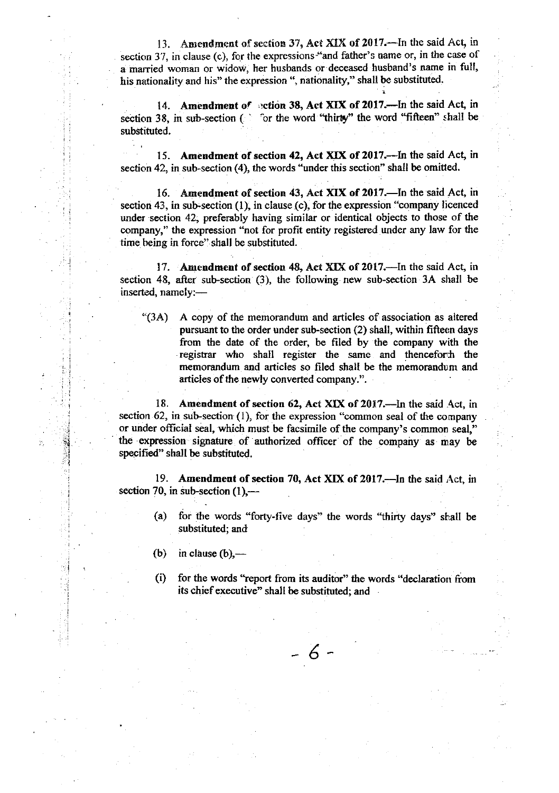13. Amendment of section 37, Act XIX of  $2017$ .-In the said Act, in section 37, in clause (c), for the expressions "and father's name or, in the case of a married woman or widow, her husbands or deceased husband's name in full, his nationality and his" the expression ", nationality," shall be substituted.

14. Amendment of setion 38, Act XIX of 2017.-In the said Act, in section 38, in sub-section ( $\degree$  or the word "thirty" the word "fifteen" shall be substituted.

15. Amendment of section 42, Act XIX of 2017.--In the said Act, in section 42, in sub-section (4), the words "under this section" shall be omitted.

16. Amendment of section 43, Act XIX of 2017.—In the said Act, in section 43, in sub-section  $(1)$ , in clause  $(c)$ , for the expression "company licenced under section 42, preferably having similar or identical objects to those of the company," the expression "not for profit entity registered under any law for the time being in force" shall be substituted.

17. Amendment of section 48, Act XIX of 2017.-In the said Act, in section 48, after sub-section (3), the following new sub-section 3A shall be inserted, namely:-

'(3A) A copy of the memorandum and articles of association as altered pursuant to the order under sub-section (2) shall, within fifteen days from the date of the order, be filed by the company with the registrar who shall register the same and thenceforth the memorandum and articles so filed shall be the memorandum and articles of the newly converted company.".

18. Amendment of section 62, Act XIX of 2017.—In the said Act, in section 62, in sub-section  $(1)$ , for the expression "common seal of the company or under official seal, which must be facsimile of the company's common seal," the expression signature of authorized officer of the company as may be specified" shall be substituted.

19. Amendment of section 70, Act XIX of 2017.—In the said Act, in section 70, in sub-section  $(1)$ ,—

- (a) for the words "forty-five days" the words "thirty days" strall be substituted; and
- (b) in clause  $(b)$ ,—

i .j q il ',1 i I

I

(i) for the words "report from its auditor" the words "declaration from its chief executive" shall be substituted; and

6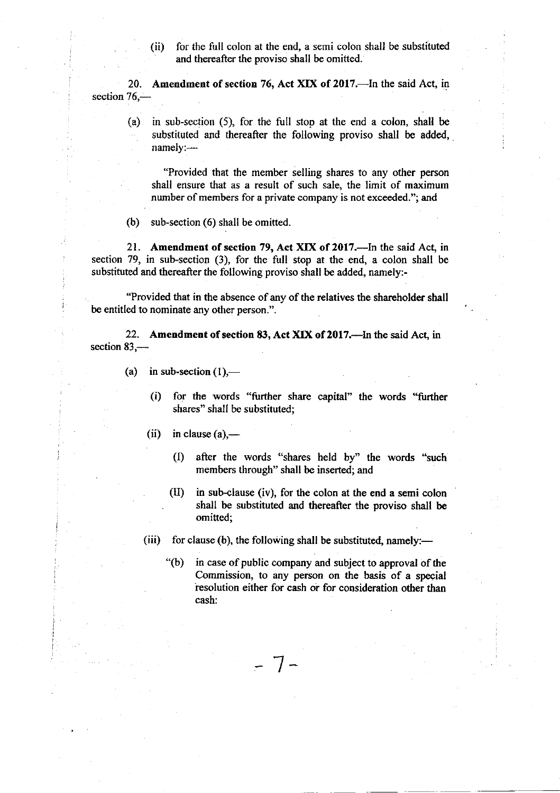(ii) for the full colon at the end, a semi colon shall be substituted and thereafter the proviso shall be omitted.

20. Amendment of section 76, Act XIX of 2017.—In the said Act, in section  $76-$ 

(a) in sub-section (5), for the full stop at the end a colon, shall be substituted and thereafter the following proviso shall be added, namely:-

"Provided that the member selling shares to any other person shall ensure that as a result of such sale, the limit of maximum number of members for a private company is not exceeded."; and

(b) sub-section (6) shall be omitted

21. Amendment of section 79, Act XIX of 2017.-- In the said Act, in section 79, in sub-section (3), for the full stop at the end, a colon shall be substituted and thereafter the following proviso shall be added, namely:-

"Provided that in the absence of any of the relatives the shareholder shall be entitled to nominate any other person.".

22. Amendment of section 83, Act XIX of 2017.-In the said Act, in section  $83-$ 

- (a) in sub-section  $(1)$ ,—
	- (i) for the words "further share capital" the words "further shares" shall be substituted;
	- (ii) in clause  $(a)$ ,—
		- 0) after the words "shares held by" the words "such members through" shall be inserted; and
		- $(II)$  in sub-clause (iv), for the colon at the end a semi colon shall be substituted and thereafter the proviso shall be omitted;

(iii) for clause (b), the following shall be substituted, namely:-

 $-7-$ 

 $\degree$ (b) in case of public company and subject to approval of the Commission, to any person on the basis of a special resolution either for cash or for consideration other than cash: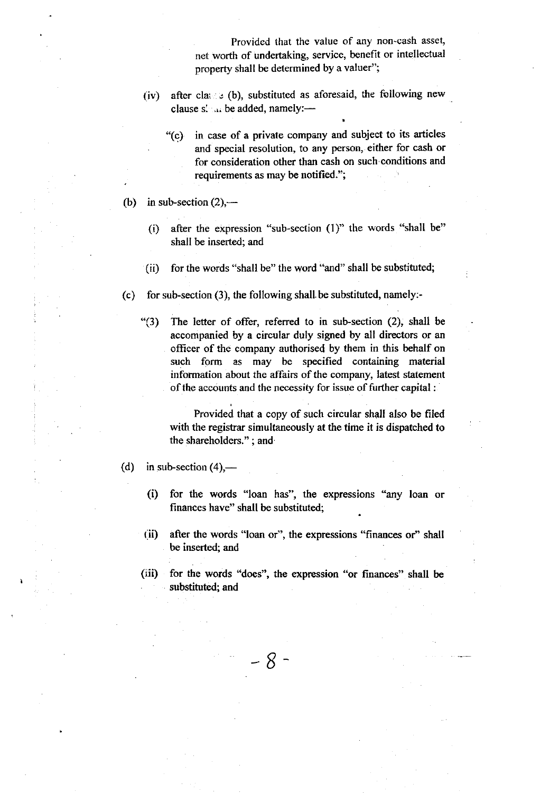Provided (hat the value of any non-cash asset, net worth of undertaking, service, benefit or intellectual property shall be determined by a valuer";

- (iv) after class  $\varepsilon$  (b), substituted as aforesaid, the following new clause  $s'$  at be added, namely:-
	- "(C) in case of a private company and subject to its articles and special resolution, to any person, either for cash or for consideration other than cash on such'conditions and requirements as may be notified.";
- (b) in sub-section  $(2)$ ,—
	- (i) after the expression "sub-section  $(1)$ " the words "shall be" shall be inserted; and
	- (ii) for the words "shall be" the word "and" shall be substituted;
- (c) for sub-section (3), the following shall be substituted, namely:-
	- " $(3)$  The letter of offer, referred to in sub-section  $(2)$ , shall be accompanied by a circular duly signed by all directors or an officer of the company authorised by them in this behalf on such form as may be specified containing material information about the affairs of the company, latest statement of the accounts and the necessity for issue of further capital :

Provided that a copy of such circular shall also be filed with the registrar simultaneously at the time it is dispatched to the shareholders." ; and

- (d) in sub-section  $(4)$ ,—
	- (i) for the words "loan has", the expressions "any loan or finances have" shall be substituted;
	- (ii) after the words "loan or", the expressions "finances or" shall be inserted; and
	- (iii) for the words "does", the expression "or finances" shall be substituted; and

- 8 -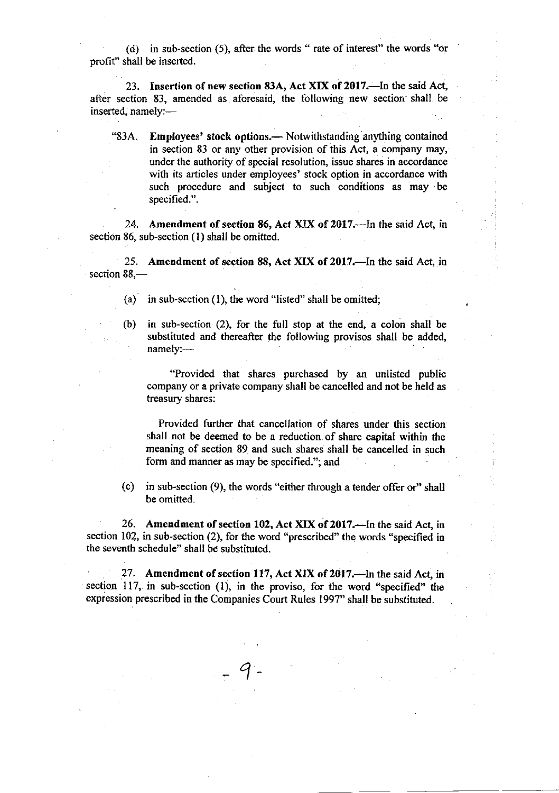(d) in sub-section (5), after. the words " rate of interesf' the words "or profit'' shall be inserted.

23. Insertion of new section 83A, Act XIX of 2017.—In the said Act, after section 83, amended as aforesaid, the following new section shall be inserted, namely:-

"83A. Employees' stock options.— Notwithstanding anything contained in section 83 or any other provision of this Act, a company may, under the authority of special resolution, issuo shares in accordance with its articles under employees' stock option in accordance with such procedure and subject to such conditions as may be specified.".

24. Amendment of section 86, Act XIX of 2017.-In the said Act, in section 86, sub-section (1) shalt be omitted.

25. Amendment of section 88, Act XIX of 2017.—In the said Act, in section  $88$ <sub>-</sub>

- (a) in sub-section (1), the word "listed" shall be omitted;
- (b) in sub-section (2), for the full stop at the end, a colon shall be substituted and thereafter the following provisos shall be added, namely:---

"Provided that shares purchased by an unlisted public company or a private company shall be cancelled and not be held as treasury shares:

Provided further that cancellation of shares under this section shall not be deemed to be a reduction of share capital within the meaning of section 89 and such shares shall be cancelled in such form and manner as may be specified."; and

(c) in sub-section  $(9)$ , the words "either through a tender offer or" shall be omitted.

26. Amendment of section 102, Act XIX of 2017.—In the said Act, in section 102, in sub-section (2), for the word "prescribed" the words "specified in the seventh schedule" shall be substituted.

27. Amendment of section 117, Act XIX of 2017.—In the said Act, in section 117, in sub-section  $(1)$ , in the proviso, for the word "specified" the expression prescribed in the Companies Court Rules 1997" shall be substituted.

9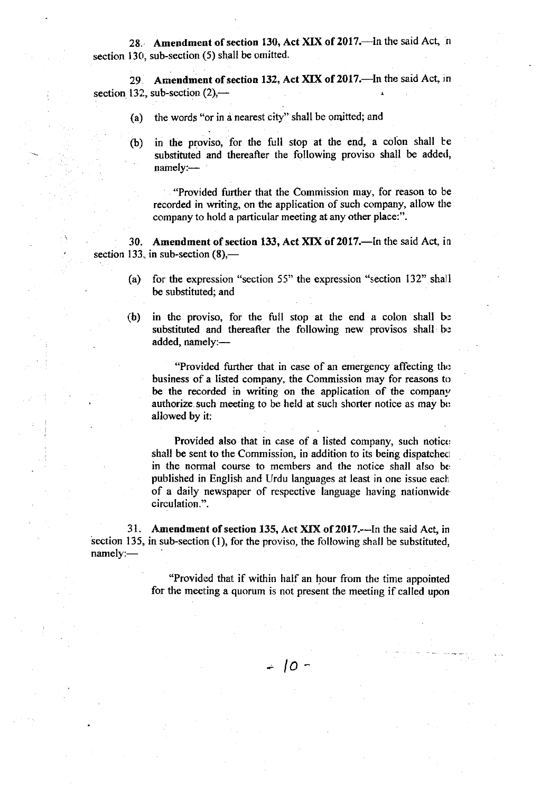28. Amendment of section 130, Act XIX of 2017. In the said Act, in section 130, sub-section (5) shall be omitted.

29 Amendment of section 132, Act XIX of 2017.—In the said Act, in section 132, sub-section  $(2)$ ,--

- (a) the words "or in d nearest city" shall be omitted; and
- (b) in the proviso, for the full stop at the end, a colon shall be substituted and thereafter the following proviso shall be added,  $namely:$

. "Provided further that the Commission may, for reason to be recorded in writing, on the application of such company, allow the company to hold a particular meeting at any other place:".

30. Amendment of section 133, Act XIX of 2017.-In the said Act, in section 133, in sub-section  $(8)$ ,—

- (a) for the expression "section 55" the expression "section 132" shall be substituted; and
- (b) in the proviso, for the full stop at the end a colon shall be substituted and thereafter the following new provisos shall be added, namely:-

"Provided further that in case of an emergency affecting the business of a listed company, the Commission may for reasons to be the recorded in writing on the application of the company authorize such meeting to be held at such shorter notice as may be allowed by it:

Provided also that in case of a listed company, such notice shall be sent to the Commission, in addition to its being dispatched in the normal course to members and the notice shall also be published in English and Urdu languages at least in one issue each of a daily newspaper of respective language having nationwide circulation.".

31. Amendment of section 135, Act XIX of 2017.—In the said Act, in section 135, in sub-section (1), for the proviso, the following shall be substituted, namely:-

> "Provided that if within half an hour from the time appointed for the meeting a quorum is not present the meeting if called upon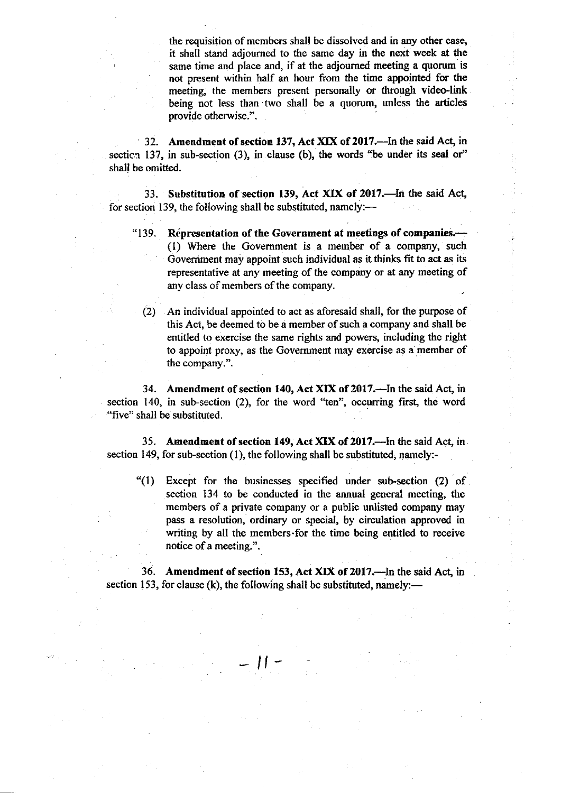the requisition of members shall be dissolved and in any other case, it shall stand adjourned to the same day in the next week at the same time and place and, if at the adjourned meeting a quorum is not present within half an hour from the time appointed for the meeting, the members present personally or through video-link being not less than two shall be a quorum, unless the articles provide otherwise.".

32. Amendment of section 137, Act XIX of 2017.-In the said Act, in section 137, in sub-section  $(3)$ , in clause  $(b)$ , the words "be under its seal or" shall be omitted.

33. Substitution of section 139, Act XIX of 2017.-In the said Act, for section 139, the following shall be substituted, namely:—

"139. Representation of the Government at meetings of companies.-(1) Where the Government is a member of a company, such Goverriment may appoint such individual as it thinks fit to act as its representative at any meeting of the company or at any meeting of any class of members of the company.

(2) An individual appointed to act as aforesaid shall, for the purpose of this Act, be deemed to be a member of such a company and shall be entitled to exercise the same rights and powers, including the right to appoint proxy, as the Govemment may exercise as a member of the company.".

34. Amendment of section 140, Act XIX of 2017.-In the said Act, in section 140, in sub-section  $(2)$ , for the word "ten", occurring first, the word "five" shall be substituted.

35. Amendment of section 149, Act XIX of 2017.--In the said Act, in section 149, for sub-section (1), the following shall be substituted, namely:-

"(l) Except for the businesses specified under sub-section (2) of section 134 to be conducted in the annual general meeting, the members of a private company or a public unlisted company may pass a resolution, ordinary or special, by circulation approved in writing by all the members for the time being entitled to receive notice of a meeting.".

36. Amendment of section 153, Act XIX of 2017.—In the said Act, in section 153, for clause (k), the following shall be substituted, namely:—

 $\frac{1}{2}$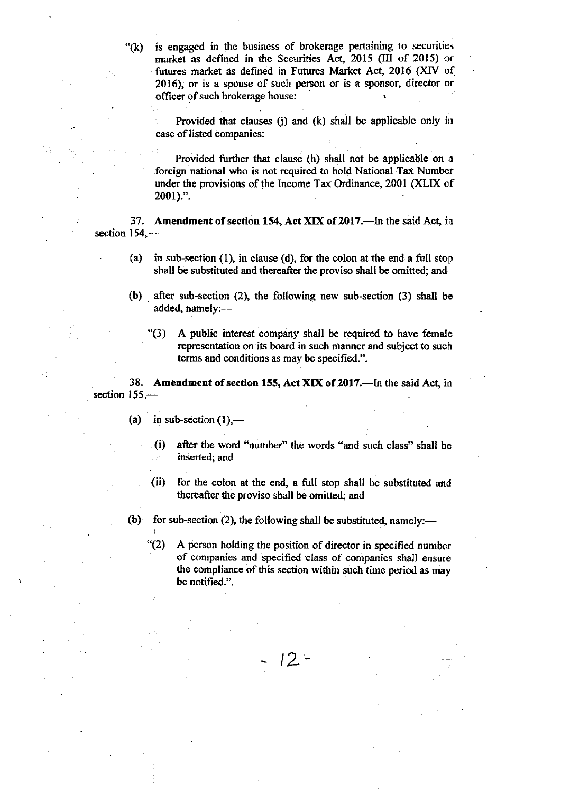$f(k)$  is engaged in the business of brokerage pertaining to securities market as defined in the Securities Act, 2015 (III of 2015) or futures market as defined in Futures Market Act, 2016 (XIV of 2015), or is a spouse of such person or is a sponsor, director or officer of such brokerage house:

Provided that clauses  $(i)$  and  $(k)$  shall be applicable only in case of listed companies:

Provided further that clause (h) shall not be applicable on <sup>a</sup> foreign national who is not required to hold National Tax Number under the provisions of the Income Tax Ordinance, 2001 (XLIX of 20ot).".

37. Amendment of section 154, Act XIX of 2017.-In the said Act, in section 154.-

- (a) in sub-section (1), in clause (d), for the colon at the end a full stop shall be substituted and thereafter the proviso shall be omitted; and
- (b) after sub-section  $(2)$ , the following new sub-section  $(3)$  shall be added, namely:--
	- "(3) A public interest company shall be required to have female representation on its board in such manner and subject to such terms and conditions as may be specified.".

38. Amendment of section 155, Act XIX of 2017.-In the said Act, in section  $155-$ 

- (a) in sub-section  $(1)$ ,—
	- (i) after the word "number" the words "and such class" shall be inserted; and
	- (ii) for the colon at the end, a full stop shall be substituted and thercafter the proviso shall be omitted; and
- (b) for sub-section (2), the following shall be substituted, namely:—
	- $*(2)$  A person holding the position of director in specified number of companies and specified class of companies shall ensure the compliance of this section within such time period as may be notified.".

 $12 -$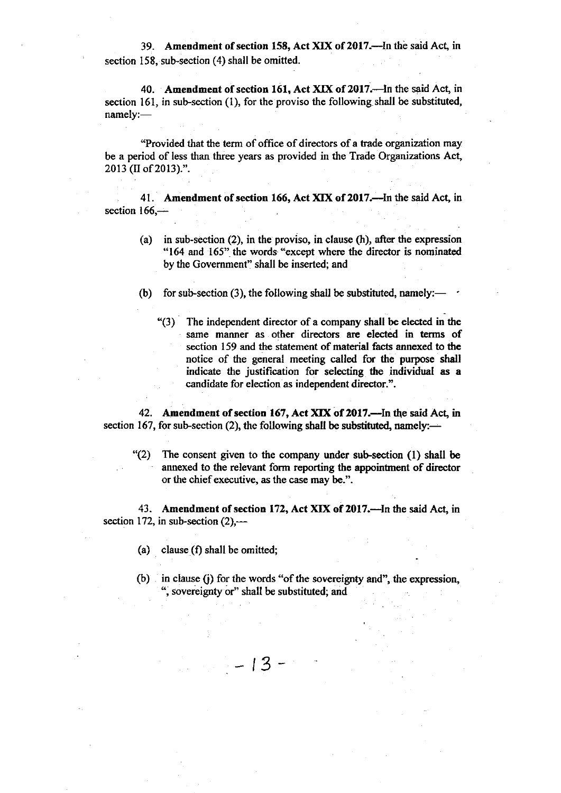39. Amendment of section 158, Act XIX of 2017.—In the said Act, in section 158, sub-section (4) shall be omitted.

40. Amendment of section 161, Act XIX of 2017.-In the said Act, in section 161, in sub-section (1), for the proviso the following shall be substituted, namely:-

"Provided that the term of office of directors of a trade organization may be a period of less than three years as provided in the Trade Organizations Act 2013 (II of 2013).".

41. Amendment of section 166, Act XIX of 2017.—In the said Act, in section  $166$ , $-$ 

(a) in sub-section (2), in the proviso, in clause (h), after the expression "164 and 165" the words "except where the director is nominated by the Government" shall be inserted; and

(b) for sub-section (3), the following shall be substituted, namely:— $\cdot$ 

"(3) The independent director of a company shall be elected in the same manner as other directors are elected in terms of section 159 and the statement of material facts annexed to the notice of the general meeting called for the purpose shall indicate the justification for selecting the individual as a candidate for election as independent director.".

42. Amendment of section 167, Act XIX of 2017.—In the said Act, in section 167, for sub-section (2), the following shall be substituted, namely: $-$ 

"(2) The consent given to the company under sub-section (l) shall be annexed to the relevant form reporting the appointnent of director or the chief executive, as the case may be.".

43. Amendment of section 172, Act XIX of 2017.—In the said Act, in section 172, in sub-section  $(2)$ ,—

 $-13-$ 

- (a) clause  $(f)$  shall be omitted;
- (b) in clause (j) for the words "of the sovereignty and", the expression, ", sovereignty or" shall be substituted; and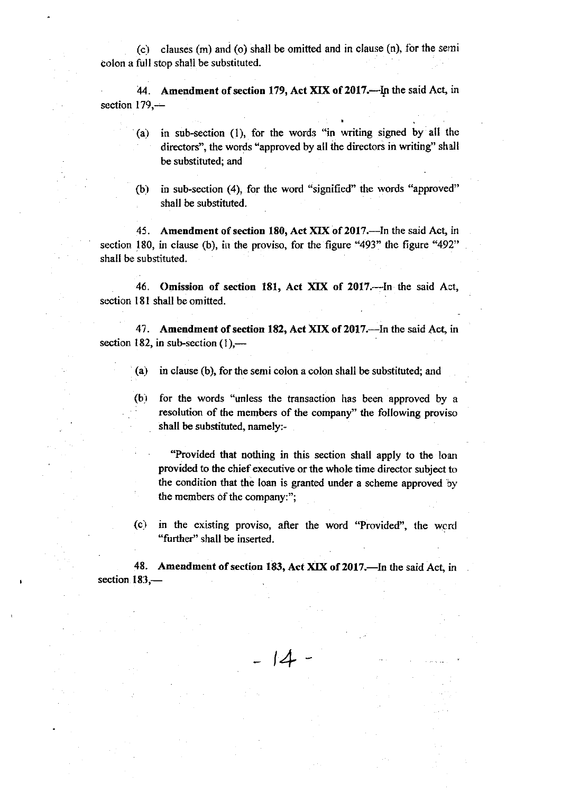$(c)$  clauses  $(m)$  and  $(o)$  shall be omitted and in clause  $(n)$ , for the semi colon a full stop shall be substituted.

44. Amendment of section 179, Act XIX of 2017.-- In the said Act, in section  $179$ , $-$ 

- (a) in sub-section (1), for the words "in writing signed by all the directors", the words \*approved by all the directors in writing" shall be substiruted; and
- (b) in sub-section (4), for the word "signified" the words "approved" shall be substituted.

45. Amendment of section 180, Act XIX of 2017.--- In the said Act, in section 180, in clause (b), in the proviso, for the figure "493" the figure "492" shall be substituted.

46. Omission of section 181, Act XIX of 2017.--In the said Act, section l8l shall be omitted.

47. Amendment of section 182, Act XIX of 2017.—In the said Act, in section 182, in sub-section  $(1)$ ,---

- (a) in clause (b), for the semi colon a colon shall be substituted; and
- (b) for the words "unless the transaction has been approved by <sup>a</sup> resolution of the members of the company" the following proviso shall be substituted, namely:-

"Provided that nothing in this section shall apply to the loan provided to the chief executive or the whole time director subject to the condition that the loan is granted under a scheme approved by the members of the company:";

(c) in the existing proviso, after the word "Provided", the wcrd "further" shall be inserted.

48. Amendment of section 183, Act XIX of 2017.—In the said Act, in section  $183$ ,-

 $\frac{1}{4}$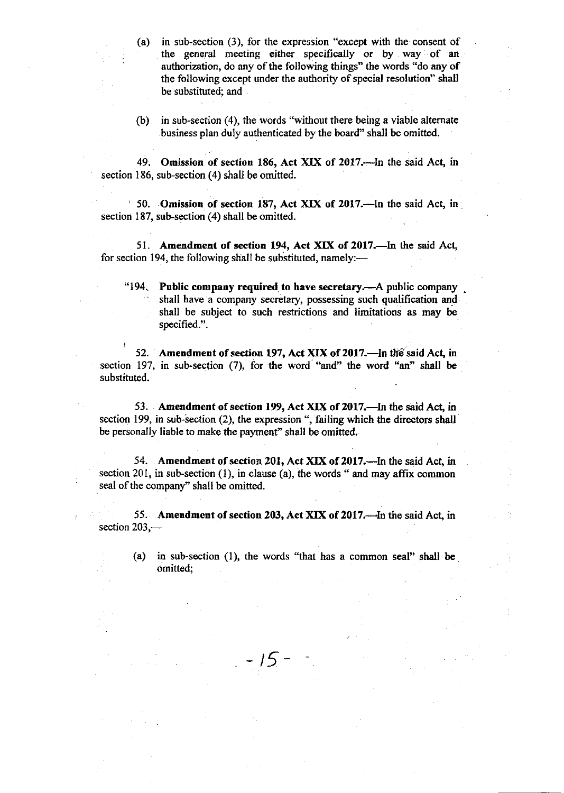(a) in sub-section (3), for the expression "except with the consent of the general meeting either specifically or by way of an authorization, do any of the following things" the words "do any of the following except under the authority of special resolution" shall be substituted; and

(b) in sub-section (4), the words "without there being a viable altemate business plan duly authenticated by the board" shall be omitted.

49. Omission of section 186, Act XIX of 2017.—In the said Act, in section 186, sub-section  $(4)$  shall be omitted.

' 50. Omission of section 187, Act XIX of 2017.-In the said Act, in section 187, sub-section (4) shall be omitted.

51. Amendment of section 194, Act XIX of 2017.—In the said Act, for section 194, the following shall be substituted, namely: $\cdots$ 

"194. Public company required to have secretary.—A public company shall have a company secretary, possessing such qualification and shall be subject to such restrictions and limitations as may be specified.".

52. Amendment of section 197, Act XIX of 2017.—In the said Act, in section 197, in sub-section (7), for the word "and" the word "an" shall be substituted.

53. Amendment of section 199, Act XIX of 2017.—In the said Act, in section 199, in sub-section  $(2)$ , the expression ", failing which the directors shall be personally liable to make the payment" shall be omitted.

54. Amendment of section 201, Act XIX of 2017.—In the said Act, in section 201, in sub-section  $(1)$ , in clause  $(a)$ , the words " and may affix common seal of the company'' shall be omitted.

55. Amendment of section 203, Act XIX of 2017.—In the said Act, in section  $203$ , $-$ 

- 15 -

(a) in sub-section (1), the words "that has a common seal" shall be omitted;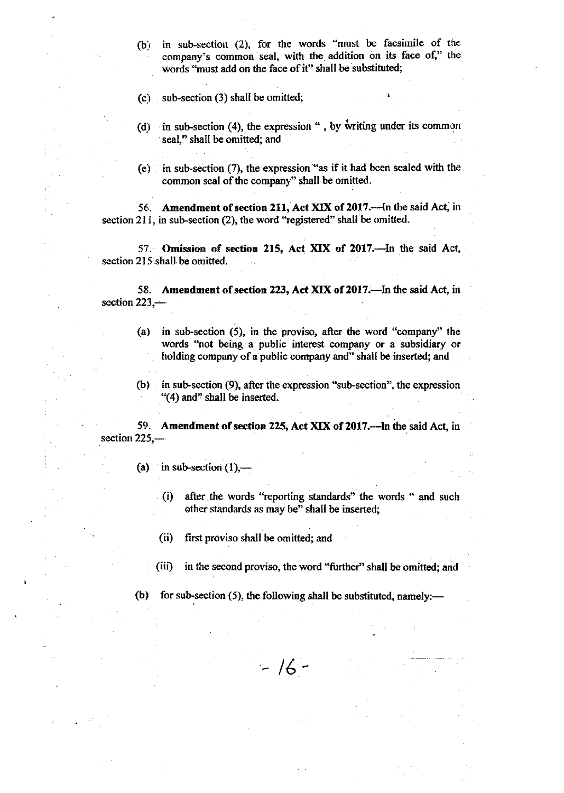- $(b)$  in sub-section (2), for the words "must be facsimile of the company's common seal, with the addition on its face of," the words "must add on the face of it" shall be substituted;
- (c) sub-section  $(3)$  shall be omitted;
- (d) in sub-section (4), the expression ", by writing under its common seal," shall be omitted; and
- (e) in sub-section  $(7)$ , the expression "as if it had been sealed with the common seal of the company" shall be omifted.

56. Amendment of section 211, Act XIX of 2017.—In the said Act, in section 211, in sub-section (2), the word "registered" shall be omitted.

57. Omission of section 215, Act XIX of 2017.-In the said Act, section 215 shall be omitted.

58. Amendment of section 223, Act XIX of 2017.-In the said Act, in section  $223$ , $-$ 

- (a) in sub-section (5), in the proviso, after the word "company" the words "not being a public interest company or a subsidiary or holding company of a public company and" shall be inserted; and
- (b) in sub-section (9), after the expression "sub-section", the expression  $-(4)$  and" shall be inserted.

59. Amendment of section 225, Act XIX of 2017.—In the said Act, in  $section 225, -$ 

(a) in sub-section  $(1)$ ,-

- (i) after the words "reporting standards" the words " and such other standards as may be" shall be inserted;
- (ii) first proviso shall be omitted; and
- (iii) in the second proviso, the word "further" shall be omitted; and
- (b) for sub-section (5), the following shall be substituted, namely:—

 $-16-$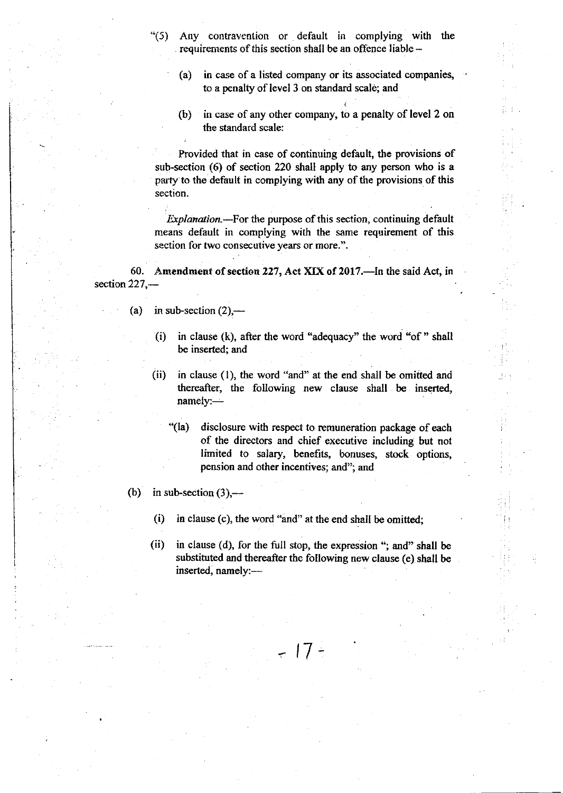- "(5) Any contravention or default in complying with the requirements of this section shall be an offence liable -
	- (a) in case of a listed company or its associated companies, to a penalty of level 3 on standard scale; and
	- (b) in case of any other company, to a penalty of level 2 on the standard scale:

Provided that in case of continuing default, the provisions of sub-section (6) of section 220 shall apply to any person who is a party to the default in complying with any of the provisions of this section.

*Explanation.*—For the purpose of this section, continuing default means default in oomplying with the same requirement of this section for two consecutive years or more.".

60. Amendment of section 227, Act XIX of 2017.--In the said Act, in section 227,-

- (a) in sub-section  $(2)$ ,—
	- (i) in clause (k), after the word "adequacy" the word "of" shall be inserted; and
	- (ii) in clause (1), the word "and" at the end shall be omitted and thereafter, the following new clause shall be inserted, namely:-
		- "(la) disclosure with respect to remuneration package of each of the directors and chief executive including but not limited to salary, benefits, bonuses, stock options, pension and other incentives; and"; and
- (b) in sub-section  $(3)$ ,---
	- $(i)$  in clause  $(c)$ , the word "and" at the end shall be omitted;
	- (ii) in clause (d), for the full stop, the expression "; and" shall be substituted and thereafter the following new clause (e) shall be inserted, namely:-

 $-17-$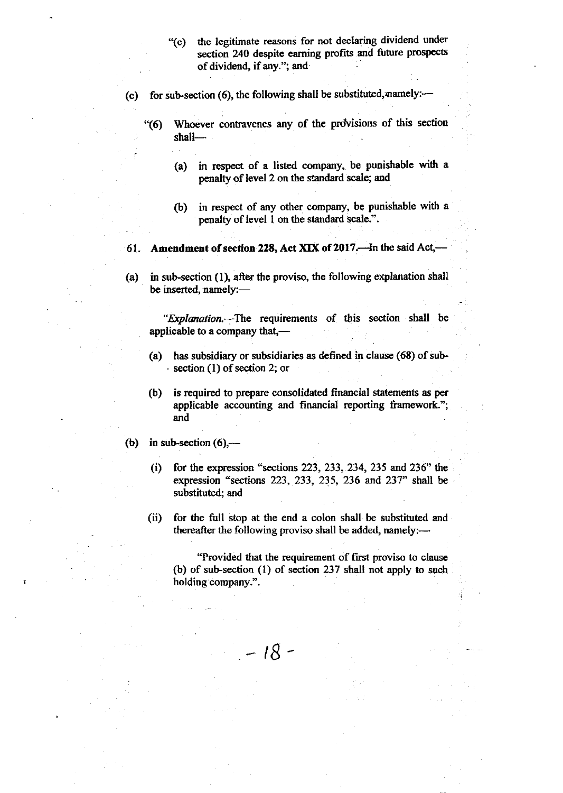- "(e) the legitimate reasons for not declaring dividend under section 240 despite earning profits and future prospects of dividend, if anY."; and
- (c) for sub-section (6), the following shall be substituted, namely: $-$ 
	- "(6) Whoever contravenes any of the provisions of this section shall-
		- (a) in respect of a listed company, be punishable with <sup>a</sup> penalty of level 2 on the standard scale; and
		- (b) in respect of any other company, be punishable with <sup>a</sup> penalty of level I on the standard scale.".

61. Amendment of section 228, Act XIX of 2017. $\rightarrow$ In the said Act, $\rightarrow$ 

(a) in sub-section (l), after the proviso, the following explanation shall be inserted, namely:-

"Explanation.-The requirements of this section shall be applicable to a company that,-

- (a) has subsidiary or subsidiaries as defined in clause  $(68)$  of sub- $\cdot$  section (1) of section 2; or
- (b) is required to prepare consolidated financial statements as per applicable accounting and financial reporting framework"; and
- (b) in sub-section  $(6)$ ,—
	- (i) for the expression "sections 223, 233, 234, 235 and 236" the expression "sections 223,233,235, 236 and 237" shall be substituted; and
	- (ii) for the full stop at the end a colon shall be substituted and thereafter the following proviso shall be added, namely: $-$

 $-18 -$ 

"Provided that the requirement of first proviso to clause (b) of sub-section  $(1)$  of section 237 shall not apply to such holding company.".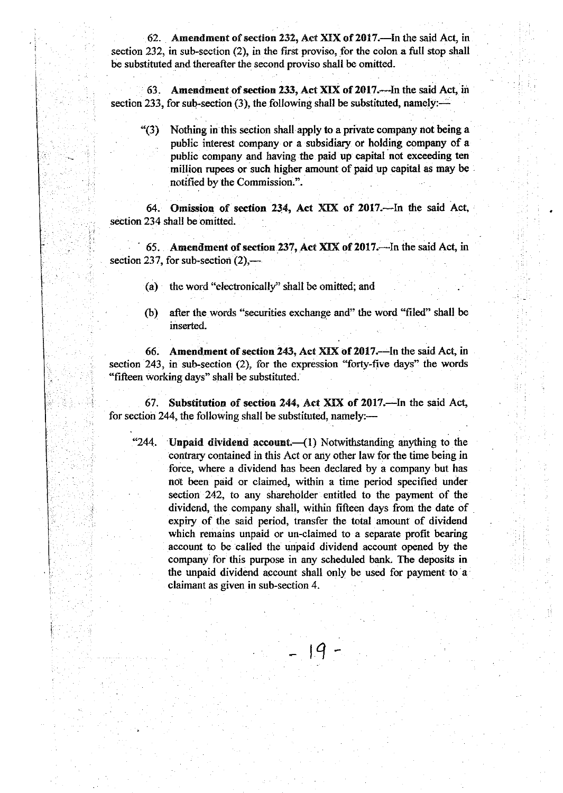62. Amendment of section 232, Act XIX of 2017.—In the said Act, in section 232, in sub-section (2), in the first proviso, for the colon a full stop shall be substituted and thereafter the second proviso shall be omitted.

63. Amendment of section 233, Act XIX of 2017.--- In the said Act, in section 233, for sub-section (3), the following shall be substituted, namely: $-$ 

\*(3) Nothing in this section shall apply to a private company not being <sup>a</sup> public interest company or a subsidiary or holding company of a public company and having the paid up capital not exceeding ten million rupees or such higher amount of paid up capital as may be notified by the Commission.".

64. Omission of section 234, Act XIX of 2017.-In the said Act, section 234 shall be omitted.

65. Amendment of section 237, Act XIX of 2017.—In the said Act, in section 237, for sub-section  $(2)$ ,-

(a) the word "electonically" shall be omitted; and

(b) after the words "securities exchange and" the word "filed" shall be inserted.

66. Amendment of section 243, Act XIX of 2017.—In the said Act, in section 243, in sub-section (2), tor the expression 'forty-five days" the words "fifteen working days" shall be substituted.

67. Substitution of section 244, Act XIX of 2017.--In the said Act, for section 244, the following shall be substituted, namely:—

"244. Unpaid dividend account.—(1) Notwithstanding anything to the contrary contained in this Act or any other law for the time being in force, where a dividend has been declared by a company but has not been paid or claimed, within a time period specified under sectior. 242, to any shareholder entitled to the payment of the dividend, the company shall, within fifteen days from the date of expiry of the said period, transfer the total amount of dividend which remains unpaid or un-claimed to a separate profit bearing account to be called the unpaid dividend account opened by the company for this purpose in any scheduled bank. The deposits in the unpaid dividend account shall only be used for payment to a claimant as given in sub-section 4.

 $-19$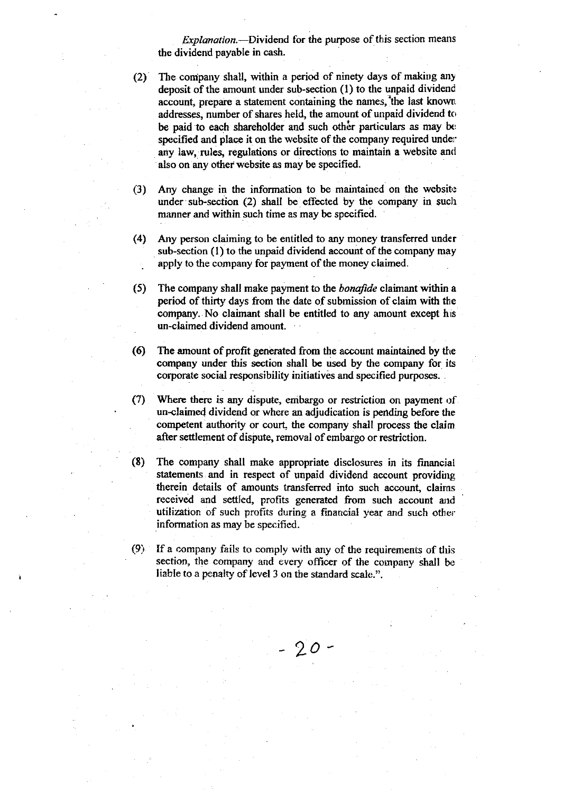Explanation.—Dividend for the purpose of this section means the dividend payable in cash.

(2) The coripany shall, within a period of ninety days of making any deposit of the amount under sub-section  $(1)$  to the unpaid dividend account, prepare a statement containing the names, the last known, addresses, number of shares held, the amount of unpaid dividend to be paid to each shareholder and such other particulars as may be specified and place it on the website of the company required under any law, rules, regulations or directions to maintain a website and also on any other website as may be specified.

(3) Any change in the information to be maintained on the websit: under sub-section  $(2)$  shall be effected by the company in such manner and within such time as may be specified.

- (4) Any person claiming to be entitled to any money transferred under sub-section  $(1)$  to the unpaid dividend account of the company may apply to the company for payment of the money claimed.
- (5) The company shall make payment to the *bonafide* claimant within a period of thirty days from the date of submission of claim with the company. No claimant shall be entitled to any amount except his un-claimed dividend amount.
- (6) The amount of profit generated from the account maintained by the company under this section shall be used by the company for its corporate social responsibility initiatives and specified purposes.
- (7) Where there is any dispute, embargo or restriction on payment of un-claimed dividend or where an adjudication is pending before the competent authority or court, the company shall process the claim after settlement of dispute, removal of embargo or restriction.
- (8) The company shall make appropriate disclosures in its financial statements and in respect of unpaid dividend account providing therein details of amounts transferred into such account, claims received and settled, profits generated from such account and utilization of such profits during a financial year and such other information as may be specificd.
- (9) If a company fails to comply with any of the requirements of this section, the company and every officer of the cornpany shall be liable to a penalty of level 3 on the standard scale.".

90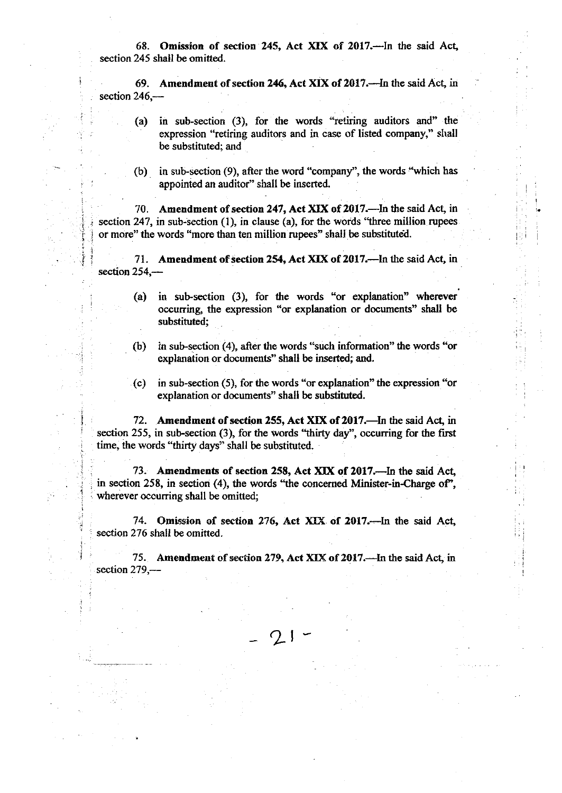68. Omission of section 245, Act XIX of 2017.--- In the said Act, section 245 shall be omitted.

69. Amendment of section 246, Act XIX of 2017.-In the said Act, in section  $246$ , $-$ 

- (a) in sub-section (3), for the words "retiring auditors and" the expression "retiring auditors and in case of listed company," shall be substituted; and
- (b) in sub-section  $(9)$ , after the word "company", the words "which has appointed an auditor" shall be inserted.

70. Amendment of section 247, Act XIX of 2017.—In the said Act, in section 247, in sub-section  $(1)$ , in clause  $(a)$ , for the words "three million rupees" or more" the words "more than ten million rupees" shall be substituted

i İ

i

I

i

1

71. Amendment of section 254, Act XIX of 2017.—In the said Act, in section 254,-

- (a) in sub-section (3), for the wonds \*or explanation" wherever occurring, the expression "or explanation or documents" shall be substituted;
- (b) in sub-section (4), after the words "such information" the words "or explanation or documents' shall be inserted; and.
- (c) in sub-section (5), for the words "or explanation" the expression "or explanation or documents" shall be substituted.

72. Amendment of section 255, Act XIX of 2017.—In the said Act, in section 255, in sub-section (3), for the words "thirty day", occurring for the first time, the words "thirty days" shall be substituted.

73. Amendments of section 258, Act XIX of 2017.-- In the said Act, in section 258, in section (4), the words "the concerned Minister-in-Charge of", wherever occurring shall be omitted;

74. Omission of section 276, Act XIX of 2017.-In the said Act, section 276 shall be omitted.

75. Amendment of section 279, Act XIX of 2017. In the said Act, in section  $279$ , $-$ 

 $Q_1$